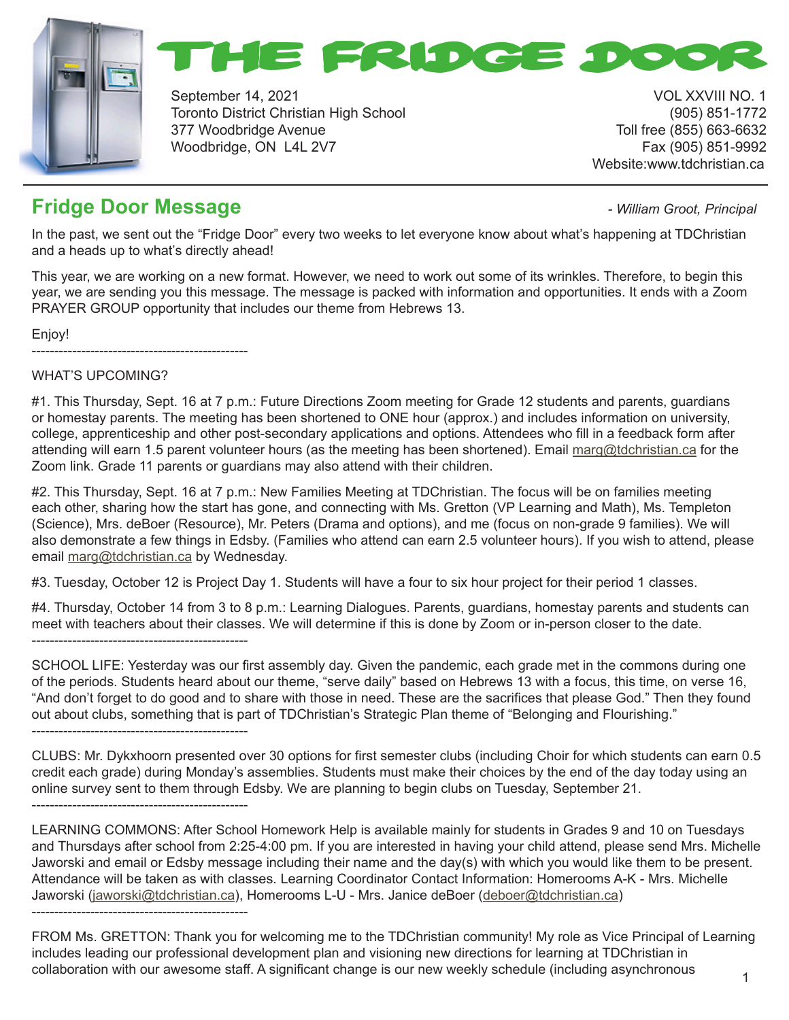



September 14, 2021 **VOL XXVIII NO. 1** Toronto District Christian High School (905) 851-1772 377 Woodbridge Avenue Toll free (855) 663-6632 Woodbridge, ON L4L 2V7 Fax (905) 851-9992

Website:www.tdchristian.ca

## **Fridge Door Message** *- William Groot, Principal*

In the past, we sent out the "Fridge Door" every two weeks to let everyone know about what's happening at TDChristian and a heads up to what's directly ahead!

This year, we are working on a new format. However, we need to work out some of its wrinkles. Therefore, to begin this year, we are sending you this message. The message is packed with information and opportunities. It ends with a Zoom PRAYER GROUP opportunity that includes our theme from Hebrews 13.

Enjoy!

------------------------------------------------

## WHAT'S UPCOMING?

#1. This Thursday, Sept. 16 at 7 p.m.: Future Directions Zoom meeting for Grade 12 students and parents, guardians or homestay parents. The meeting has been shortened to ONE hour (approx.) and includes information on university, college, apprenticeship and other post-secondary applications and options. Attendees who fill in a feedback form after attending will earn 1.5 parent volunteer hours (as the meeting has been shortened). Email marg@tdchristian.ca for the Zoom link. Grade 11 parents or guardians may also attend with their children.

#2. This Thursday, Sept. 16 at 7 p.m.: New Families Meeting at TDChristian. The focus will be on families meeting each other, sharing how the start has gone, and connecting with Ms. Gretton (VP Learning and Math), Ms. Templeton (Science), Mrs. deBoer (Resource), Mr. Peters (Drama and options), and me (focus on non-grade 9 families). We will also demonstrate a few things in Edsby. (Families who attend can earn 2.5 volunteer hours). If you wish to attend, please email marg@tdchristian.ca by Wednesday.

#3. Tuesday, October 12 is Project Day 1. Students will have a four to six hour project for their period 1 classes.

#4. Thursday, October 14 from 3 to 8 p.m.: Learning Dialogues. Parents, guardians, homestay parents and students can meet with teachers about their classes. We will determine if this is done by Zoom or in-person closer to the date. ------------------------------------------------

SCHOOL LIFE: Yesterday was our first assembly day. Given the pandemic, each grade met in the commons during one of the periods. Students heard about our theme, "serve daily" based on Hebrews 13 with a focus, this time, on verse 16, "And don't forget to do good and to share with those in need. These are the sacrifices that please God." Then they found out about clubs, something that is part of TDChristian's Strategic Plan theme of "Belonging and Flourishing." ------------------------------------------------

CLUBS: Mr. Dykxhoorn presented over 30 options for first semester clubs (including Choir for which students can earn 0.5 credit each grade) during Monday's assemblies. Students must make their choices by the end of the day today using an online survey sent to them through Edsby. We are planning to begin clubs on Tuesday, September 21. ------------------------------------------------

LEARNING COMMONS: After School Homework Help is available mainly for students in Grades 9 and 10 on Tuesdays and Thursdays after school from 2:25-4:00 pm. If you are interested in having your child attend, please send Mrs. Michelle Jaworski and email or Edsby message including their name and the day(s) with which you would like them to be present. Attendance will be taken as with classes. Learning Coordinator Contact Information: Homerooms A-K - Mrs. Michelle Jaworski (jaworski@tdchristian.ca), Homerooms L-U - Mrs. Janice deBoer (deboer@tdchristian.ca) ------------------------------------------------

FROM Ms. GRETTON: Thank you for welcoming me to the TDChristian community! My role as Vice Principal of Learning includes leading our professional development plan and visioning new directions for learning at TDChristian in collaboration with our awesome staff. A significant change is our new weekly schedule (including asynchronous